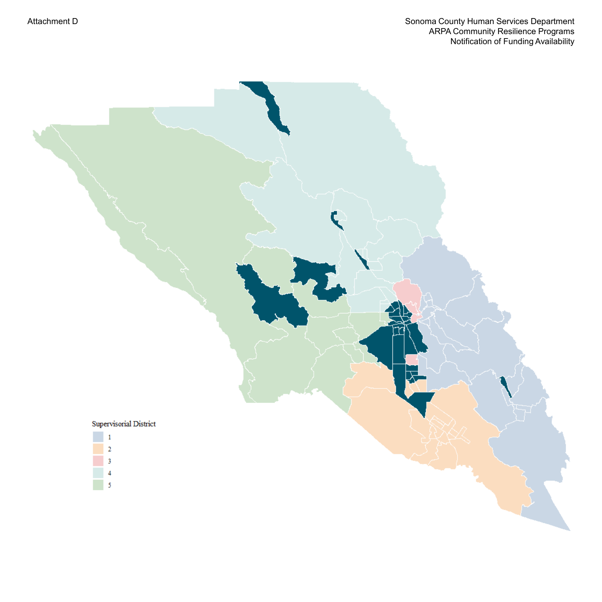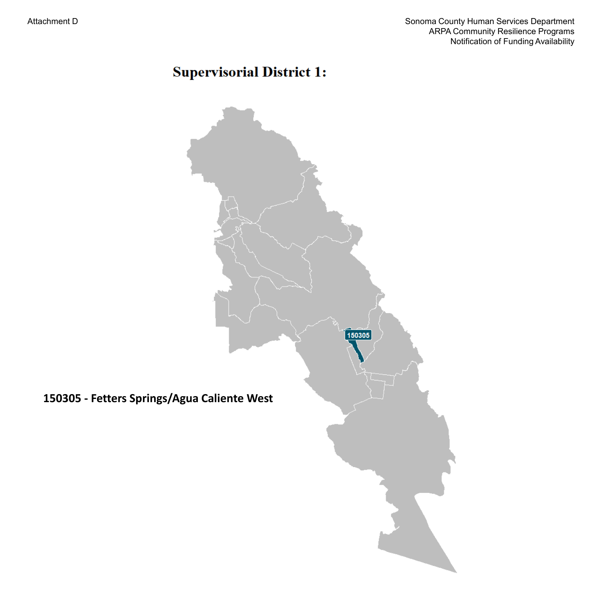# **Supervisorial District 1:**

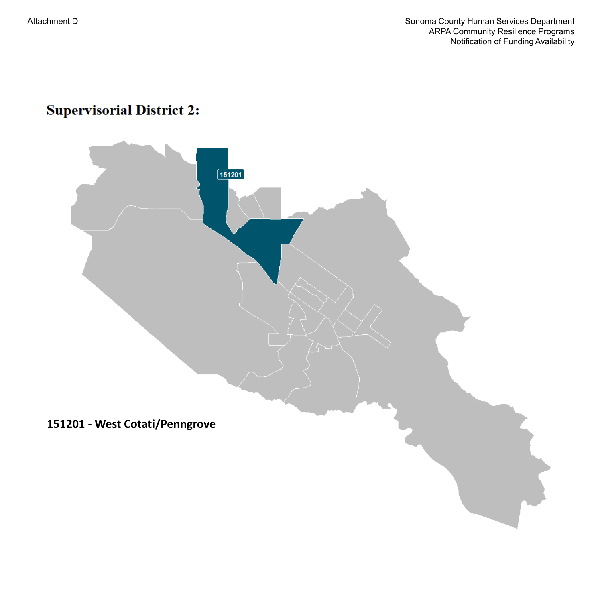# **Supervisorial District 2:**

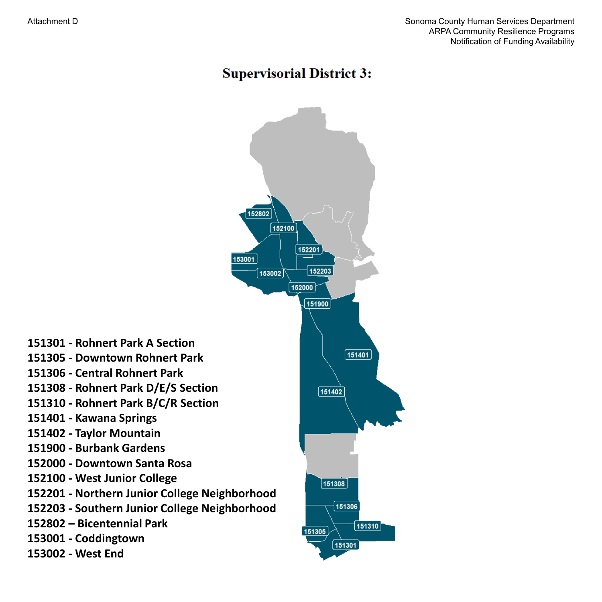#### **Supervisorial District 3:**

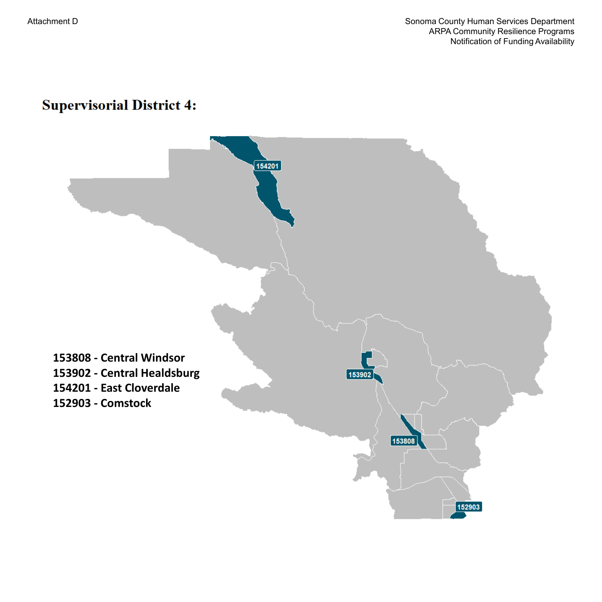## **Supervisorial District 4:**